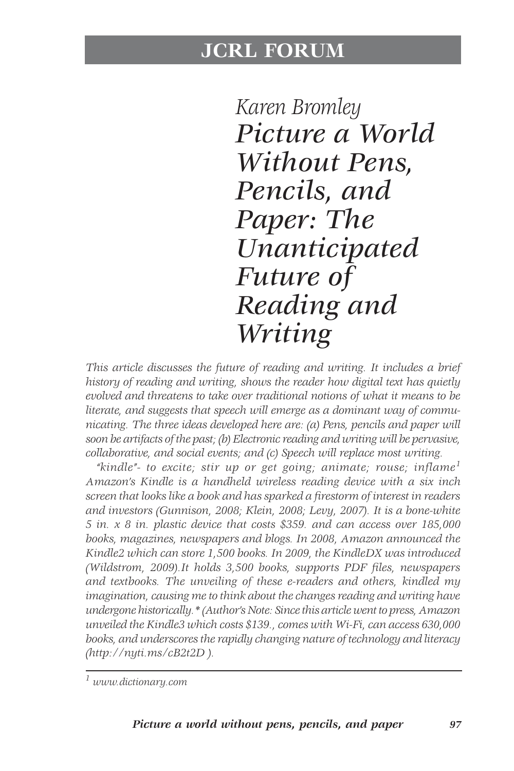# **JCRL FORuM**

*Karen Bromley Picture a World Without Pens, Pencils, and Paper: The Unanticipated Future of Reading and Writing*

*This article discusses the future of reading and writing. It includes a brief history of reading and writing, shows the reader how digital text has quietly evolved and threatens to take over traditional notions of what it means to be literate, and suggests that speech will emerge as a dominant way of commu*nicating. The three ideas developed here are: (a) Pens, pencils and paper will *soon be artifacts of the past; (b) Electronic reading and writing will be pervasive, collaborative, and social events; and (c) Speech will replace most writing.*

*"kindle"- to excite; stir up or get going; animate; rouse; inflame <sup>1</sup> Amazon's Kindle is a handheld wireless reading device with a six inch screen that looks like a book and has sparked a firestorm of interest in readers and investors (Gunnison, 2008; Klein, 2008; Levy, 2007). It is a bone-white 5 in. x 8 in. plastic device that costs \$359. and can access over 185,000 books, magazines, newspapers and blogs. In 2008, Amazon announced the Kindle2 which can store 1,500 books. In 2009, the KindleDX was introduced (Wildstrom, 2009).It holds 3,500 books, supports PDF files, newspapers and textbooks. The unveiling of these e-readers and others, kindled my imagination, causing me to think about the changes reading and writing have undergone historically.\* (Author's Note: Since this article went to press, Amazon unveiled the Kindle3 which costs \$139., comes with Wi-Fi, can access 630,000 books, and underscores the rapidly changing nature of technology and literacy (http://nyti.ms/cB2t2D ).*

*<sup>1</sup> www.dictionary.com*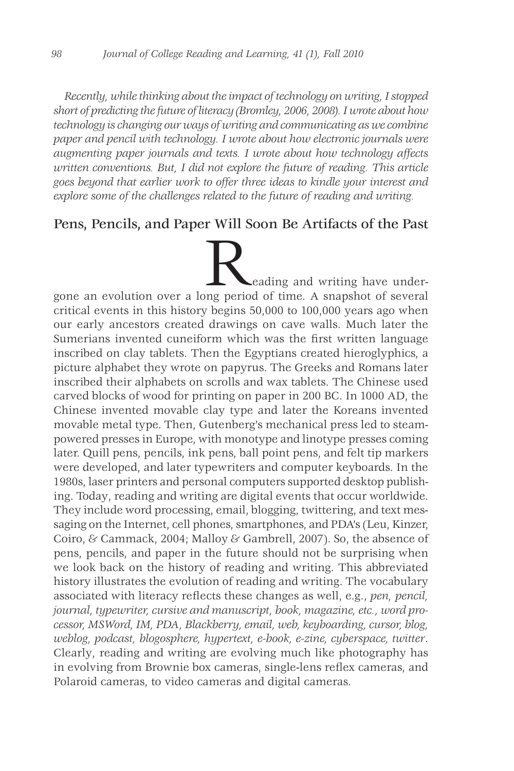*Recently, while thinking about the impact of technology on writing, I stopped short of predicting the future of literacy (Bromley, 2006, 2008). I wrote about how technology is changing our ways of writing and communicating as we combine paper and pencil with technology. I wrote about how electronic journals were augmenting paper journals and texts. I wrote about how technology affects written conventions. But, I did not explore the future of reading. This article goes beyond that earlier work to offer three ideas to kindle your interest and explore some of the challenges related to the future of reading and writing.*

# Pens, Pencils, and Paper Will Soon Be Artifacts of the Past

eading and writing have undergone an evolution over a long period of time. A snapshot of several critical events in this history begins 50,000 to 100,000 years ago when our early ancestors created drawings on cave walls. Much later the Sumerians invented cuneiform which was the first written language inscribed on clay tablets. Then the Egyptians created hieroglyphics, a picture alphabet they wrote on papyrus. The Greeks and Romans later inscribed their alphabets on scrolls and wax tablets. The Chinese used carved blocks of wood for printing on paper in 200 BC. In 1000 AD, the Chinese invented movable clay type and later the Koreans invented movable metal type. Then, Gutenberg's mechanical press led to steampowered presses in Europe, with monotype and linotype presses coming later. Quill pens, pencils, ink pens, ball point pens, and felt tip markers were developed, and later typewriters and computer keyboards. In the 1980s, laser printers and personal computers supported desktop publishing. Today, reading and writing are digital events that occur worldwide. They include word processing, email, blogging, twittering, and text messaging on the Internet, cell phones, smartphones, and PDA's (Leu, Kinzer, Coiro, & Cammack, 2004; Malloy & Gambrell, 2007). So, the absence of pens, pencils, and paper in the future should not be surprising when we look back on the history of reading and writing. This abbreviated history illustrates the evolution of reading and writing. The vocabulary associated with literacy reflects these changes as well, e.g., *pen, pencil, journal, typewriter, cursive and manuscript, book, magazine, etc., word processor, MSWord, IM, PDA, Blackberry, email, web, keyboarding, cursor, blog, weblog, podcast, blogosphere, hypertext, e-book, e-zine, cyberspace, twitter*. Clearly, reading and writing are evolving much like photography has in evolving from Brownie box cameras, single-lens reflex cameras, and Polaroid cameras, to video cameras and digital cameras.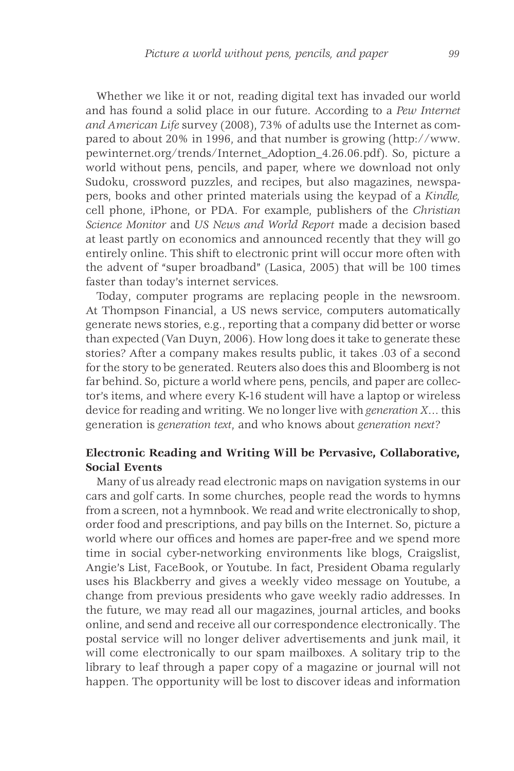Whether we like it or not, reading digital text has invaded our world and has found a solid place in our future. According to a *Pew Internet and American Life* survey (2008), 73% of adults use the Internet as compared to about 20% in 1996, and that number is growing (http://www. pewinternet.org/trends/Internet\_Adoption\_4.26.06.pdf). So, picture a world without pens, pencils, and paper, where we download not only Sudoku, crossword puzzles, and recipes, but also magazines, newspapers, books and other printed materials using the keypad of a *Kindle,* cell phone, iPhone, or PDA. For example, publishers of the *Christian Science Monitor* and *US News and World Report* made a decision based at least partly on economics and announced recently that they will go entirely online. This shift to electronic print will occur more often with the advent of "super broadband" (Lasica, 2005) that will be 100 times faster than today's internet services.

Today, computer programs are replacing people in the newsroom. At Thompson Financial, a US news service, computers automatically generate news stories, e.g., reporting that a company did better or worse than expected (Van Duyn, 2006). How long does it take to generate these stories? After a company makes results public, it takes .03 of a second for the story to be generated. Reuters also does this and Bloomberg is not far behind. So, picture a world where pens, pencils, and paper are collector's items, and where every K-16 student will have a laptop or wireless device for reading and writing. We no longer live with *generation X*… this generation is *generation text*, and who knows about *generation next*?

#### **Electronic Reading and Writing Will be Pervasive, Collaborative, Social Events**

Many of us already read electronic maps on navigation systems in our cars and golf carts. In some churches, people read the words to hymns from a screen, not a hymnbook. We read and write electronically to shop, order food and prescriptions, and pay bills on the Internet. So, picture a world where our offices and homes are paper-free and we spend more time in social cyber-networking environments like blogs, Craigslist, Angie's List, FaceBook, or Youtube. In fact, President Obama regularly uses his Blackberry and gives a weekly video message on Youtube, a change from previous presidents who gave weekly radio addresses. In the future, we may read all our magazines, journal articles, and books online, and send and receive all our correspondence electronically. The postal service will no longer deliver advertisements and junk mail, it will come electronically to our spam mailboxes. A solitary trip to the library to leaf through a paper copy of a magazine or journal will not happen. The opportunity will be lost to discover ideas and information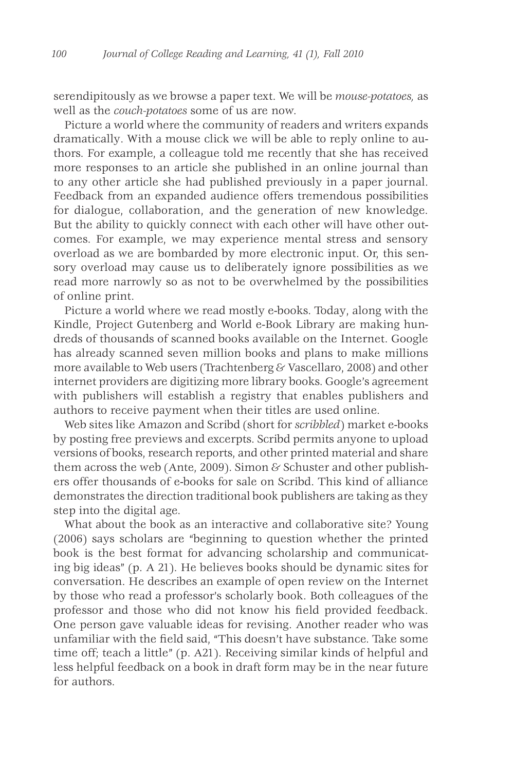serendipitously as we browse a paper text. We will be *mouse-potatoes,* as well as the *couch-potatoes* some of us are now.

Picture a world where the community of readers and writers expands dramatically. With a mouse click we will be able to reply online to authors. For example, a colleague told me recently that she has received more responses to an article she published in an online journal than to any other article she had published previously in a paper journal. Feedback from an expanded audience offers tremendous possibilities for dialogue, collaboration, and the generation of new knowledge. But the ability to quickly connect with each other will have other outcomes. For example, we may experience mental stress and sensory overload as we are bombarded by more electronic input. Or, this sensory overload may cause us to deliberately ignore possibilities as we read more narrowly so as not to be overwhelmed by the possibilities of online print.

Picture a world where we read mostly e-books. Today, along with the Kindle, Project Gutenberg and World e-Book Library are making hundreds of thousands of scanned books available on the Internet. Google has already scanned seven million books and plans to make millions more available to Web users (Trachtenberg & Vascellaro, 2008) and other internet providers are digitizing more library books. Google's agreement with publishers will establish a registry that enables publishers and authors to receive payment when their titles are used online.

Web sites like Amazon and Scribd (short for *scribbled*) market e-books by posting free previews and excerpts. Scribd permits anyone to upload versions of books, research reports, and other printed material and share them across the web (Ante, 2009). Simon  $&$  Schuster and other publishers offer thousands of e-books for sale on Scribd. This kind of alliance demonstrates the direction traditional book publishers are taking as they step into the digital age.

What about the book as an interactive and collaborative site? Young (2006) says scholars are "beginning to question whether the printed book is the best format for advancing scholarship and communicating big ideas" (p. A 21). He believes books should be dynamic sites for conversation. He describes an example of open review on the Internet by those who read a professor's scholarly book. Both colleagues of the professor and those who did not know his field provided feedback. One person gave valuable ideas for revising. Another reader who was unfamiliar with the field said, "This doesn't have substance. Take some time off; teach a little" (p. A21). Receiving similar kinds of helpful and less helpful feedback on a book in draft form may be in the near future for authors.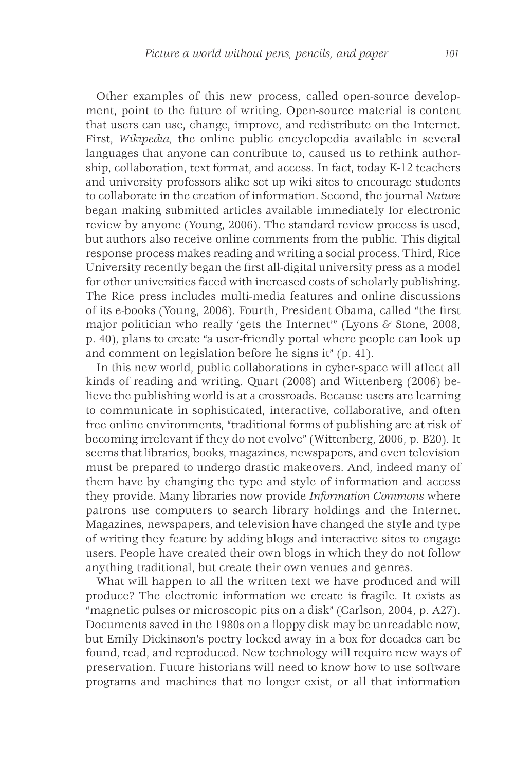Other examples of this new process, called open-source development, point to the future of writing. Open-source material is content that users can use, change, improve, and redistribute on the Internet. First, *Wikipedia,* the online public encyclopedia available in several languages that anyone can contribute to, caused us to rethink authorship, collaboration, text format, and access. In fact, today K-12 teachers and university professors alike set up wiki sites to encourage students to collaborate in the creation of information. Second, the journal *Nature* began making submitted articles available immediately for electronic review by anyone (Young, 2006). The standard review process is used, but authors also receive online comments from the public. This digital response process makes reading and writing a social process. Third, Rice University recently began the first all-digital university press as a model for other universities faced with increased costs of scholarly publishing. The Rice press includes multi-media features and online discussions of its e-books (Young, 2006). Fourth, President Obama, called "the first major politician who really 'gets the Internet'" (Lyons & Stone, 2008, p. 40), plans to create "a user-friendly portal where people can look up and comment on legislation before he signs it" (p. 41).

In this new world, public collaborations in cyber-space will affect all kinds of reading and writing. Quart (2008) and Wittenberg (2006) believe the publishing world is at a crossroads. Because users are learning to communicate in sophisticated, interactive, collaborative, and often free online environments, "traditional forms of publishing are at risk of becoming irrelevant if they do not evolve" (Wittenberg, 2006, p. B20). It seems that libraries, books, magazines, newspapers, and even television must be prepared to undergo drastic makeovers. And, indeed many of them have by changing the type and style of information and access they provide. Many libraries now provide *Information Commons* where patrons use computers to search library holdings and the Internet. Magazines, newspapers, and television have changed the style and type of writing they feature by adding blogs and interactive sites to engage users. People have created their own blogs in which they do not follow anything traditional, but create their own venues and genres.

What will happen to all the written text we have produced and will produce? The electronic information we create is fragile. It exists as "magnetic pulses or microscopic pits on a disk" (Carlson, 2004, p. A27). Documents saved in the 1980s on a floppy disk may be unreadable now, but Emily Dickinson's poetry locked away in a box for decades can be found, read, and reproduced. New technology will require new ways of preservation. Future historians will need to know how to use software programs and machines that no longer exist, or all that information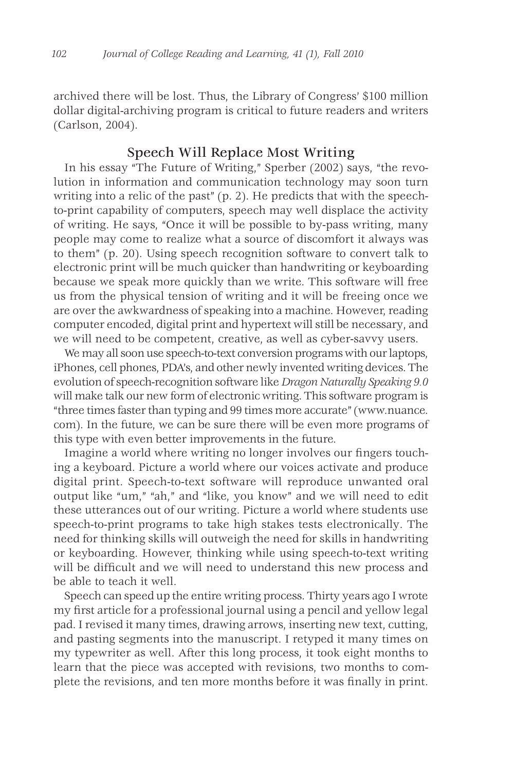archived there will be lost. Thus, the Library of Congress' \$100 million dollar digital-archiving program is critical to future readers and writers (Carlson, 2004).

# Speech Will Replace Most Writing

In his essay "The Future of Writing," Sperber (2002) says, "the revolution in information and communication technology may soon turn writing into a relic of the past" (p. 2). He predicts that with the speechto-print capability of computers, speech may well displace the activity of writing. He says, "Once it will be possible to by-pass writing, many people may come to realize what a source of discomfort it always was to them" (p. 20). Using speech recognition software to convert talk to electronic print will be much quicker than handwriting or keyboarding because we speak more quickly than we write. This software will free us from the physical tension of writing and it will be freeing once we are over the awkwardness of speaking into a machine. However, reading computer encoded, digital print and hypertext will still be necessary, and we will need to be competent, creative, as well as cyber-savvy users.

We may all soon use speech-to-text conversion programs with our laptops, iPhones, cell phones, PDA's, and other newly invented writing devices. The evolution of speech-recognition software like *Dragon Naturally Speaking 9.0* will make talk our new form of electronic writing. This software program is "three times faster than typing and 99 times more accurate" (www.nuance. com). In the future, we can be sure there will be even more programs of this type with even better improvements in the future.

Imagine a world where writing no longer involves our fingers touching a keyboard. Picture a world where our voices activate and produce digital print. Speech-to-text software will reproduce unwanted oral output like "um," "ah," and "like, you know" and we will need to edit these utterances out of our writing. Picture a world where students use speech-to-print programs to take high stakes tests electronically. The need for thinking skills will outweigh the need for skills in handwriting or keyboarding. However, thinking while using speech-to-text writing will be difficult and we will need to understand this new process and be able to teach it well.

Speech can speed up the entire writing process. Thirty years ago I wrote my first article for a professional journal using a pencil and yellow legal pad. I revised it many times, drawing arrows, inserting new text, cutting, and pasting segments into the manuscript. I retyped it many times on my typewriter as well. After this long process, it took eight months to learn that the piece was accepted with revisions, two months to complete the revisions, and ten more months before it was finally in print.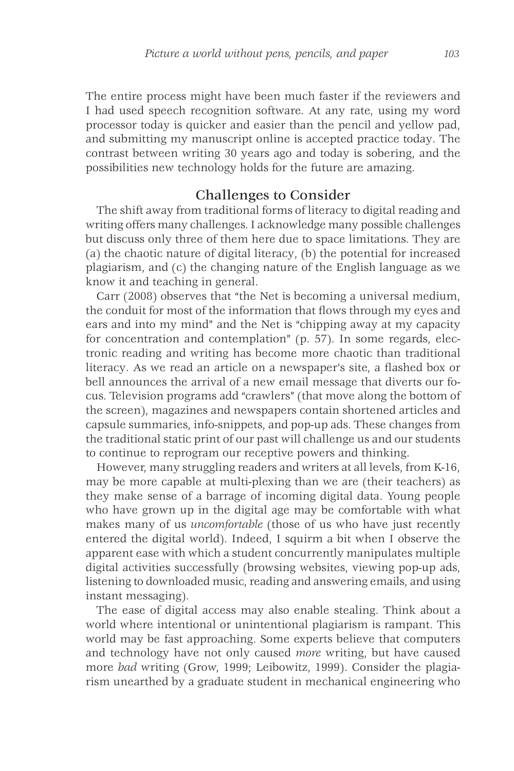The entire process might have been much faster if the reviewers and I had used speech recognition software. At any rate, using my word processor today is quicker and easier than the pencil and yellow pad, and submitting my manuscript online is accepted practice today. The contrast between writing 30 years ago and today is sobering, and the possibilities new technology holds for the future are amazing.

# Challenges to Consider

The shift away from traditional forms of literacy to digital reading and writing offers many challenges. I acknowledge many possible challenges but discuss only three of them here due to space limitations. They are (a) the chaotic nature of digital literacy, (b) the potential for increased plagiarism, and (c) the changing nature of the English language as we know it and teaching in general.

Carr (2008) observes that "the Net is becoming a universal medium, the conduit for most of the information that flows through my eyes and ears and into my mind" and the Net is "chipping away at my capacity for concentration and contemplation" (p. 57). In some regards, electronic reading and writing has become more chaotic than traditional literacy. As we read an article on a newspaper's site, a flashed box or bell announces the arrival of a new email message that diverts our focus. Television programs add "crawlers" (that move along the bottom of the screen), magazines and newspapers contain shortened articles and capsule summaries, info-snippets, and pop-up ads. These changes from the traditional static print of our past will challenge us and our students to continue to reprogram our receptive powers and thinking.

However, many struggling readers and writers at all levels, from K-16, may be more capable at multi-plexing than we are (their teachers) as they make sense of a barrage of incoming digital data. Young people who have grown up in the digital age may be comfortable with what makes many of us *uncomfortable* (those of us who have just recently entered the digital world). Indeed, I squirm a bit when I observe the apparent ease with which a student concurrently manipulates multiple digital activities successfully (browsing websites, viewing pop-up ads, listening to downloaded music, reading and answering emails, and using instant messaging).

The ease of digital access may also enable stealing. Think about a world where intentional or unintentional plagiarism is rampant. This world may be fast approaching. Some experts believe that computers and technology have not only caused *more* writing, but have caused more *bad* writing (Grow, 1999; Leibowitz, 1999). Consider the plagiarism unearthed by a graduate student in mechanical engineering who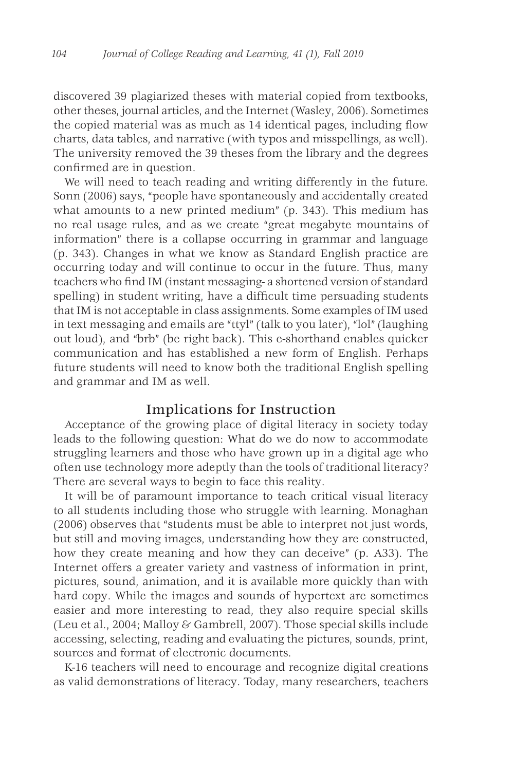discovered 39 plagiarized theses with material copied from textbooks, other theses, journal articles, and the Internet (Wasley, 2006). Sometimes the copied material was as much as 14 identical pages, including flow charts, data tables, and narrative (with typos and misspellings, as well). The university removed the 39 theses from the library and the degrees confirmed are in question.

We will need to teach reading and writing differently in the future. Sonn (2006) says, "people have spontaneously and accidentally created what amounts to a new printed medium" (p. 343). This medium has no real usage rules, and as we create "great megabyte mountains of information" there is a collapse occurring in grammar and language (p. 343). Changes in what we know as Standard English practice are occurring today and will continue to occur in the future. Thus, many teachers who find IM (instant messaging- a shortened version of standard spelling) in student writing, have a difficult time persuading students that IM is not acceptable in class assignments. Some examples of IM used in text messaging and emails are "ttyl" (talk to you later), "lol" (laughing out loud), and "brb" (be right back). This e-shorthand enables quicker communication and has established a new form of English. Perhaps future students will need to know both the traditional English spelling and grammar and IM as well.

#### Implications for Instruction

Acceptance of the growing place of digital literacy in society today leads to the following question: What do we do now to accommodate struggling learners and those who have grown up in a digital age who often use technology more adeptly than the tools of traditional literacy? There are several ways to begin to face this reality.

It will be of paramount importance to teach critical visual literacy to all students including those who struggle with learning. Monaghan (2006) observes that "students must be able to interpret not just words, but still and moving images, understanding how they are constructed, how they create meaning and how they can deceive" (p. A33). The Internet offers a greater variety and vastness of information in print, pictures, sound, animation, and it is available more quickly than with hard copy. While the images and sounds of hypertext are sometimes easier and more interesting to read, they also require special skills (Leu et al., 2004; Malloy & Gambrell, 2007). Those special skills include accessing, selecting, reading and evaluating the pictures, sounds, print, sources and format of electronic documents.

K-16 teachers will need to encourage and recognize digital creations as valid demonstrations of literacy. Today, many researchers, teachers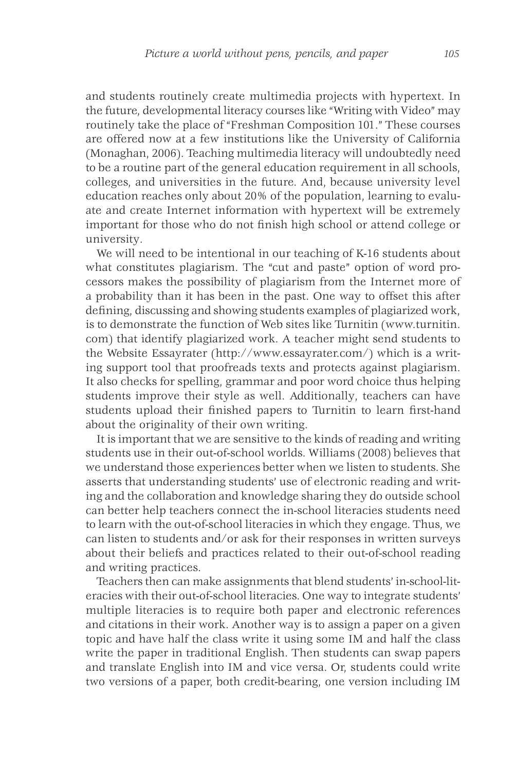and students routinely create multimedia projects with hypertext. In the future, developmental literacy courses like "Writing with Video" may routinely take the place of "Freshman Composition 101." These courses are offered now at a few institutions like the University of California (Monaghan, 2006). Teaching multimedia literacy will undoubtedly need to be a routine part of the general education requirement in all schools, colleges, and universities in the future. And, because university level education reaches only about 20% of the population, learning to evaluate and create Internet information with hypertext will be extremely important for those who do not finish high school or attend college or university.

We will need to be intentional in our teaching of K-16 students about what constitutes plagiarism. The "cut and paste" option of word processors makes the possibility of plagiarism from the Internet more of a probability than it has been in the past. One way to offset this after defining, discussing and showing students examples of plagiarized work, is to demonstrate the function of Web sites like Turnitin (www.turnitin. com) that identify plagiarized work. A teacher might send students to the Website Essayrater (http://www.essayrater.com/) which is a writing support tool that proofreads texts and protects against plagiarism. It also checks for spelling, grammar and poor word choice thus helping students improve their style as well. Additionally, teachers can have students upload their finished papers to Turnitin to learn first-hand about the originality of their own writing.

It is important that we are sensitive to the kinds of reading and writing students use in their out-of-school worlds. Williams (2008) believes that we understand those experiences better when we listen to students. She asserts that understanding students' use of electronic reading and writing and the collaboration and knowledge sharing they do outside school can better help teachers connect the in-school literacies students need to learn with the out-of-school literacies in which they engage. Thus, we can listen to students and/or ask for their responses in written surveys about their beliefs and practices related to their out-of-school reading and writing practices.

Teachers then can make assignments that blend students' in-school-literacies with their out-of-school literacies. One way to integrate students' multiple literacies is to require both paper and electronic references and citations in their work. Another way is to assign a paper on a given topic and have half the class write it using some IM and half the class write the paper in traditional English. Then students can swap papers and translate English into IM and vice versa. Or, students could write two versions of a paper, both credit-bearing, one version including IM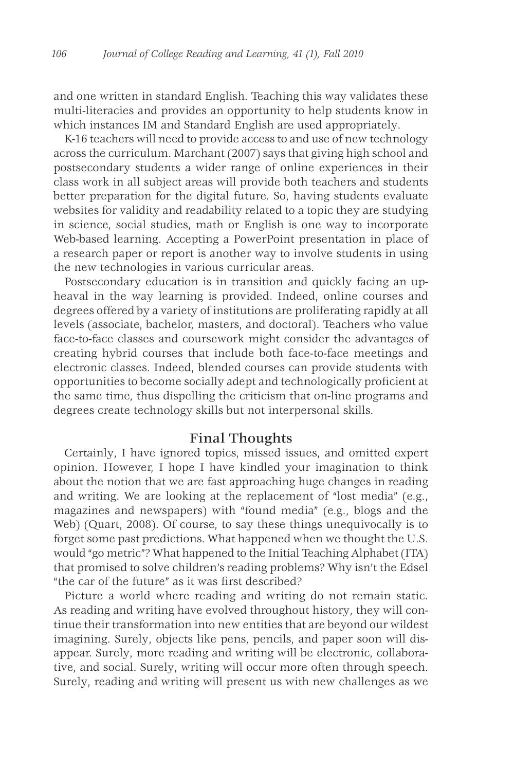and one written in standard English. Teaching this way validates these multi-literacies and provides an opportunity to help students know in which instances IM and Standard English are used appropriately.

K-16 teachers will need to provide access to and use of new technology across the curriculum. Marchant (2007) says that giving high school and postsecondary students a wider range of online experiences in their class work in all subject areas will provide both teachers and students better preparation for the digital future. So, having students evaluate websites for validity and readability related to a topic they are studying in science, social studies, math or English is one way to incorporate Web-based learning. Accepting a PowerPoint presentation in place of a research paper or report is another way to involve students in using the new technologies in various curricular areas.

Postsecondary education is in transition and quickly facing an upheaval in the way learning is provided. Indeed, online courses and degrees offered by a variety of institutions are proliferating rapidly at all levels (associate, bachelor, masters, and doctoral). Teachers who value face-to-face classes and coursework might consider the advantages of creating hybrid courses that include both face-to-face meetings and electronic classes. Indeed, blended courses can provide students with opportunities to become socially adept and technologically proficient at the same time, thus dispelling the criticism that on-line programs and degrees create technology skills but not interpersonal skills.

### Final Thoughts

Certainly, I have ignored topics, missed issues, and omitted expert opinion. However, I hope I have kindled your imagination to think about the notion that we are fast approaching huge changes in reading and writing. We are looking at the replacement of "lost media" (e.g., magazines and newspapers) with "found media" (e.g., blogs and the Web) (Quart, 2008). Of course, to say these things unequivocally is to forget some past predictions. What happened when we thought the U.S. would "go metric"? What happened to the Initial Teaching Alphabet (ITA) that promised to solve children's reading problems? Why isn't the Edsel "the car of the future" as it was first described?

Picture a world where reading and writing do not remain static. As reading and writing have evolved throughout history, they will continue their transformation into new entities that are beyond our wildest imagining. Surely, objects like pens, pencils, and paper soon will disappear. Surely, more reading and writing will be electronic, collaborative, and social. Surely, writing will occur more often through speech. Surely, reading and writing will present us with new challenges as we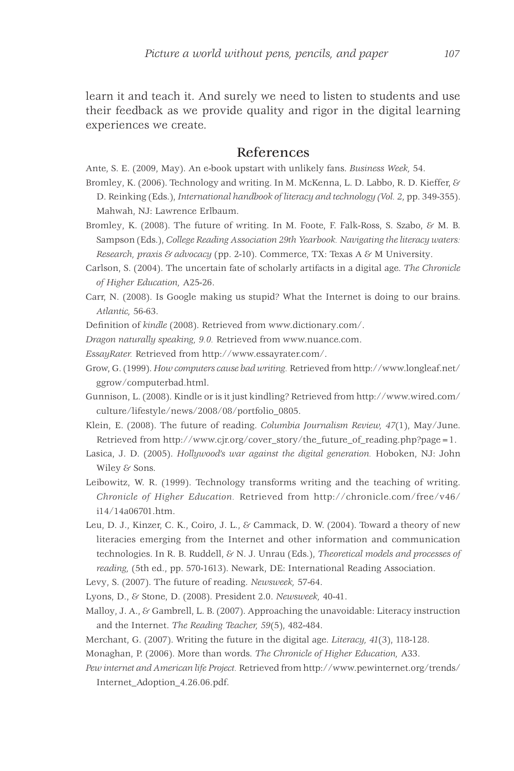learn it and teach it. And surely we need to listen to students and use their feedback as we provide quality and rigor in the digital learning experiences we create.

### References

Ante, S. E. (2009, May). An e-book upstart with unlikely fans. *Business Week,* 54.

- Bromley, K. (2006). Technology and writing. In M. McKenna, L. D. Labbo, R. D. Kieffer, & D. Reinking (Eds.), *International handbook of literacy and technology (Vol. 2*, pp. 349-355). Mahwah, NJ: Lawrence Erlbaum.
- Bromley, K. (2008). The future of writing. In M. Foote, F. Falk-Ross, S. Szabo, & M. B. Sampson (Eds.), *College Reading Association 29th Yearbook. Navigating the literacy waters: Research, praxis & advocacy* (pp. 2-10). Commerce, TX: Texas A & M University.
- Carlson, S. (2004). The uncertain fate of scholarly artifacts in a digital age. *The Chronicle of Higher Education,* A25-26.
- Carr, N. (2008). Is Google making us stupid? What the Internet is doing to our brains. *Atlantic,* 56-63.
- Definition of *kindle* (2008). Retrieved from www.dictionary.com/.
- *Dragon naturally speaking, 9.0.* Retrieved from www.nuance.com.
- *EssayRater.* Retrieved from http://www.essayrater.com/.
- Grow, G. (1999). *How computers cause bad writing.* Retrieved from http://www.longleaf.net/ ggrow/computerbad.html.
- Gunnison, L. (2008). Kindle or is it just kindling? Retrieved from http://www.wired.com/ culture/lifestyle/news/2008/08/portfolio\_0805.
- Klein, E. (2008). The future of reading. *Columbia Journalism Review, 47*(1), May/June. Retrieved from http://www.cjr.org/cover\_story/the\_future\_of\_reading.php?page=1.
- Lasica, J. D. (2005). *Hollywood's war against the digital generation.* Hoboken, NJ: John Wiley & Sons.
- Leibowitz, W. R. (1999). Technology transforms writing and the teaching of writing. *Chronicle of Higher Education.* Retrieved from http://chronicle.com/free/v46/ i14/14a06701.htm.
- Leu, D. J., Kinzer, C. K., Coiro, J. L., & Cammack, D. W. (2004). Toward a theory of new literacies emerging from the Internet and other information and communication technologies. In R. B. Ruddell, & N. J. Unrau (Eds.), *Theoretical models and processes of reading,* (5th ed., pp. 570-1613). Newark, DE: International Reading Association.

Levy, S. (2007). The future of reading. *Newsweek,* 57-64.

Lyons, D., & Stone, D. (2008). President 2.0. *Newsweek,* 40-41.

- Malloy, J. A., & Gambrell, L. B. (2007). Approaching the unavoidable: Literacy instruction and the Internet. *The Reading Teacher, 59*(5), 482-484.
- Merchant, G. (2007). Writing the future in the digital age. *Literacy, 41*(3), 118-128.

Monaghan, P. (2006). More than words. *The Chronicle of Higher Education,* A33.

*Pew internet and American life Project.* Retrieved from http://www.pewinternet.org/trends/ Internet\_Adoption\_4.26.06.pdf.